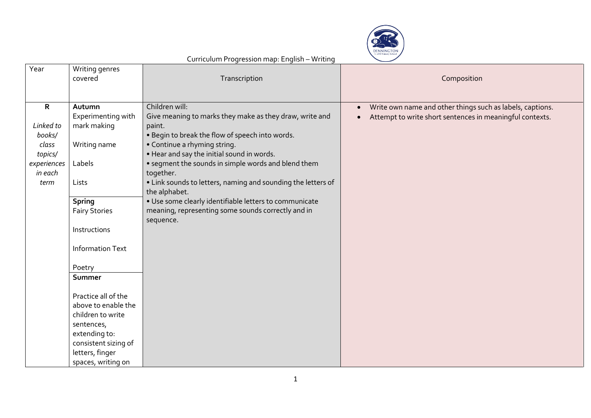

| Year         | Writing genres<br>covered | Transcription                                                | Composition                                                            |
|--------------|---------------------------|--------------------------------------------------------------|------------------------------------------------------------------------|
| $\mathsf{R}$ | Autumn                    | Children will:                                               | Write own name and other things such as labels, captions.<br>$\bullet$ |
|              | Experimenting with        | Give meaning to marks they make as they draw, write and      | Attempt to write short sentences in meaningful contexts.<br>$\bullet$  |
| Linked to    | mark making               | paint.                                                       |                                                                        |
| books/       |                           | . Begin to break the flow of speech into words.              |                                                                        |
| class        | Writing name              | • Continue a rhyming string.                                 |                                                                        |
| topics/      |                           | . Hear and say the initial sound in words.                   |                                                                        |
| experiences  | Labels                    | • segment the sounds in simple words and blend them          |                                                                        |
| in each      |                           | together.                                                    |                                                                        |
| term         | Lists                     | • Link sounds to letters, naming and sounding the letters of |                                                                        |
|              |                           | the alphabet.                                                |                                                                        |
|              | <b>Spring</b>             | · Use some clearly identifiable letters to communicate       |                                                                        |
|              | <b>Fairy Stories</b>      | meaning, representing some sounds correctly and in           |                                                                        |
|              |                           | sequence.                                                    |                                                                        |
|              | Instructions              |                                                              |                                                                        |
|              | <b>Information Text</b>   |                                                              |                                                                        |
|              | Poetry                    |                                                              |                                                                        |
|              | Summer                    |                                                              |                                                                        |
|              |                           |                                                              |                                                                        |
|              | Practice all of the       |                                                              |                                                                        |
|              | above to enable the       |                                                              |                                                                        |
|              | children to write         |                                                              |                                                                        |
|              | sentences,                |                                                              |                                                                        |
|              | extending to:             |                                                              |                                                                        |
|              | consistent sizing of      |                                                              |                                                                        |
|              | letters, finger           |                                                              |                                                                        |
|              | spaces, writing on        |                                                              |                                                                        |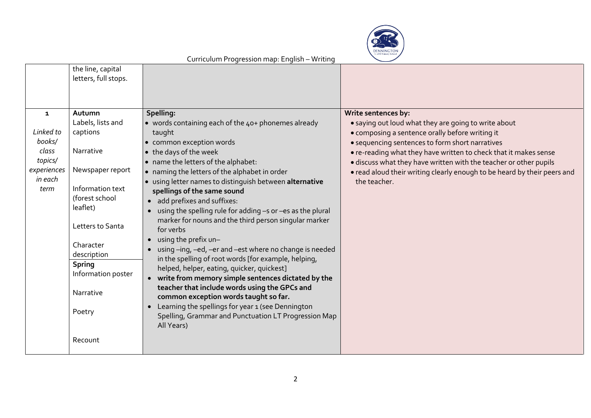

|                                   | the line, capital<br>letters, full stops.      |                                                                                                                                                                                                   |                                                                                                                                                               |
|-----------------------------------|------------------------------------------------|---------------------------------------------------------------------------------------------------------------------------------------------------------------------------------------------------|---------------------------------------------------------------------------------------------------------------------------------------------------------------|
| $\mathbf{1}$                      | Autumn<br>Labels, lists and                    | Spelling:<br>• words containing each of the 40+ phonemes already                                                                                                                                  | Write sentences by:<br>• saying out loud what they are going to write about                                                                                   |
| Linked to<br>books/               | captions                                       | taught<br>• common exception words                                                                                                                                                                | • composing a sentence orally before writing it<br>· sequencing sentences to form short narratives                                                            |
| class                             | Narrative                                      | • the days of the week                                                                                                                                                                            | . re-reading what they have written to check that it makes sense                                                                                              |
| topics/<br>experiences<br>in each | Newspaper report                               | • name the letters of the alphabet:<br>• naming the letters of the alphabet in order                                                                                                              | · discuss what they have written with the teacher or other pupils<br>. read aloud their writing clearly enough to be heard by their peers and<br>the teacher. |
| term                              | Information text<br>(forest school<br>leaflet) | • using letter names to distinguish between alternative<br>spellings of the same sound<br>• add prefixes and suffixes:<br>using the spelling rule for adding -s or -es as the plural<br>$\bullet$ |                                                                                                                                                               |
|                                   | Letters to Santa                               | marker for nouns and the third person singular marker<br>for verbs                                                                                                                                |                                                                                                                                                               |
|                                   | Character<br>description                       | • using the prefix un-<br>using -ing, -ed, -er and -est where no change is needed<br>in the spelling of root words [for example, helping,                                                         |                                                                                                                                                               |
|                                   | <b>Spring</b><br>Information poster            | helped, helper, eating, quicker, quickest]<br>• write from memory simple sentences dictated by the                                                                                                |                                                                                                                                                               |
|                                   | Narrative                                      | teacher that include words using the GPCs and<br>common exception words taught so far.                                                                                                            |                                                                                                                                                               |
|                                   | Poetry                                         | Learning the spellings for year 1 (see Dennington<br>$\bullet$<br>Spelling, Grammar and Punctuation LT Progression Map<br>All Years)                                                              |                                                                                                                                                               |
|                                   | Recount                                        |                                                                                                                                                                                                   |                                                                                                                                                               |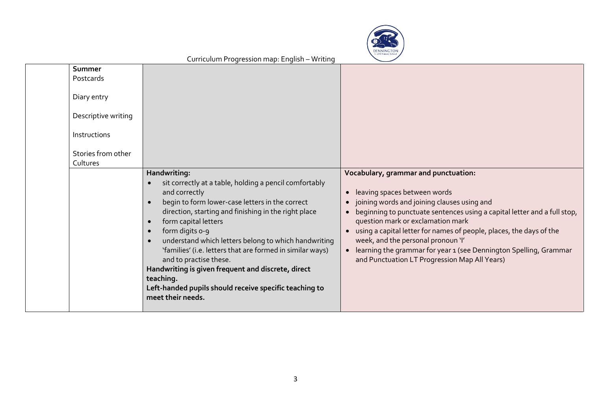

| Summer<br>Postcards<br>Diary entry<br>Descriptive writing<br>Instructions<br>Stories from other<br>Cultures | Handwriting:<br>sit correctly at a table, holding a pencil comfortably<br>and correctly<br>begin to form lower-case letters in the correct                                                                                                                                                                                                                                                                    | Vocabulary, grammar and punctuation:<br>leaving spaces between words<br>$\bullet$<br>joining words and joining clauses using and                                                                                                                                                                                                                                           |
|-------------------------------------------------------------------------------------------------------------|---------------------------------------------------------------------------------------------------------------------------------------------------------------------------------------------------------------------------------------------------------------------------------------------------------------------------------------------------------------------------------------------------------------|----------------------------------------------------------------------------------------------------------------------------------------------------------------------------------------------------------------------------------------------------------------------------------------------------------------------------------------------------------------------------|
|                                                                                                             | direction, starting and finishing in the right place<br>form capital letters<br>$\bullet$<br>form digits o-9<br>understand which letters belong to which handwriting<br>'families' (i.e. letters that are formed in similar ways)<br>and to practise these.<br>Handwriting is given frequent and discrete, direct<br>teaching.<br>Left-handed pupils should receive specific teaching to<br>meet their needs. | beginning to punctuate sentences using a capital letter and a full stop,<br>$\bullet$<br>question mark or exclamation mark<br>using a capital letter for names of people, places, the days of the<br>week, and the personal pronoun 'I'<br>learning the grammar for year 1 (see Dennington Spelling, Grammar<br>$\bullet$<br>and Punctuation LT Progression Map All Years) |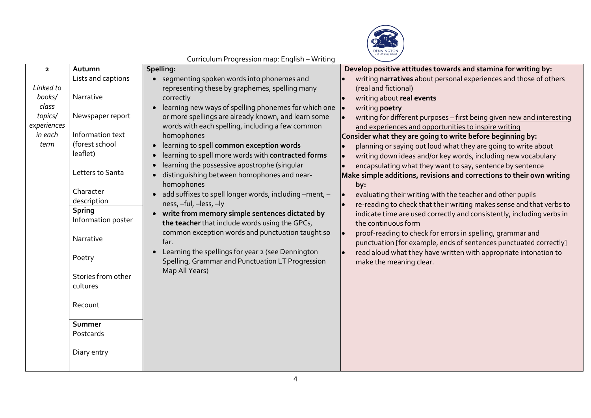

|                         |                    | Connection in regression map. English Writeing         |                                                                        |
|-------------------------|--------------------|--------------------------------------------------------|------------------------------------------------------------------------|
| $\overline{\mathbf{2}}$ | Autumn             | Spelling:                                              | Develop positive attitudes towards and stamina for writing by:         |
|                         | Lists and captions | segmenting spoken words into phonemes and              | writing narratives about personal experiences and those of others      |
| Linked to               |                    | representing these by graphemes, spelling many         | (real and fictional)                                                   |
| books/                  | Narrative          | correctly                                              | writing about real events                                              |
| class                   |                    | learning new ways of spelling phonemes for which one   | writing poetry                                                         |
| topics/                 | Newspaper report   | or more spellings are already known, and learn some    | writing for different purposes - first being given new and interesting |
| experiences             |                    | words with each spelling, including a few common       | and experiences and opportunities to inspire writing                   |
| in each                 | Information text   | homophones                                             | Consider what they are going to write before beginning by:             |
| term                    | (forest school     | learning to spell common exception words               | planning or saying out loud what they are going to write about         |
|                         | leaflet)           | learning to spell more words with contracted forms     | writing down ideas and/or key words, including new vocabulary          |
|                         |                    | learning the possessive apostrophe (singular           | encapsulating what they want to say, sentence by sentence              |
|                         | Letters to Santa   | distinguishing between homophones and near-            | Make simple additions, revisions and corrections to their own writing  |
|                         |                    | homophones                                             | by:                                                                    |
|                         | Character          | add suffixes to spell longer words, including -ment, - | evaluating their writing with the teacher and other pupils             |
|                         | description        | ness, -ful, -less, -ly                                 | re-reading to check that their writing makes sense and that verbs to   |
|                         | <b>Spring</b>      | write from memory simple sentences dictated by         | indicate time are used correctly and consistently, including verbs in  |
|                         | Information poster | the teacher that include words using the GPCs,         | the continuous form                                                    |
|                         |                    | common exception words and punctuation taught so       | proof-reading to check for errors in spelling, grammar and             |
|                         | Narrative          | far.                                                   | punctuation [for example, ends of sentences punctuated correctly]      |
|                         |                    | Learning the spellings for year 2 (see Dennington      | read aloud what they have written with appropriate intonation to       |
|                         | Poetry             | Spelling, Grammar and Punctuation LT Progression       | make the meaning clear.                                                |
|                         |                    | Map All Years)                                         |                                                                        |
|                         | Stories from other |                                                        |                                                                        |
|                         | cultures           |                                                        |                                                                        |
|                         |                    |                                                        |                                                                        |
|                         | Recount            |                                                        |                                                                        |
|                         |                    |                                                        |                                                                        |
|                         | Summer             |                                                        |                                                                        |
|                         | Postcards          |                                                        |                                                                        |
|                         |                    |                                                        |                                                                        |
|                         | Diary entry        |                                                        |                                                                        |
|                         |                    |                                                        |                                                                        |
|                         |                    |                                                        |                                                                        |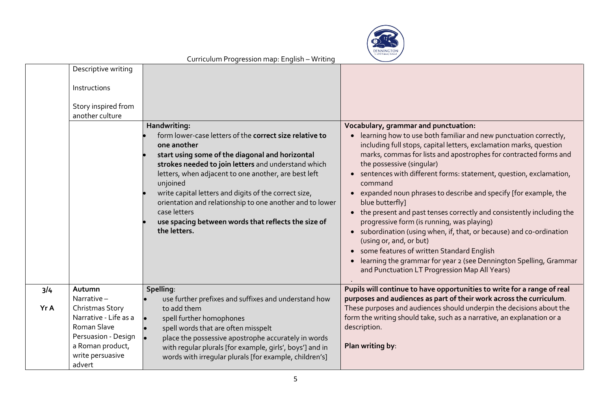

|      | Descriptive writing                                                                                                              |                                                                                                                                                                                                                                                                                                                                                                                                                                                                                  |                                                                                                                                                                                                                                                                                                                                                                                                                                                                                                                                                                                                                                                                                                                                                                                                                                                     |
|------|----------------------------------------------------------------------------------------------------------------------------------|----------------------------------------------------------------------------------------------------------------------------------------------------------------------------------------------------------------------------------------------------------------------------------------------------------------------------------------------------------------------------------------------------------------------------------------------------------------------------------|-----------------------------------------------------------------------------------------------------------------------------------------------------------------------------------------------------------------------------------------------------------------------------------------------------------------------------------------------------------------------------------------------------------------------------------------------------------------------------------------------------------------------------------------------------------------------------------------------------------------------------------------------------------------------------------------------------------------------------------------------------------------------------------------------------------------------------------------------------|
|      | Instructions<br>Story inspired from<br>another culture                                                                           |                                                                                                                                                                                                                                                                                                                                                                                                                                                                                  |                                                                                                                                                                                                                                                                                                                                                                                                                                                                                                                                                                                                                                                                                                                                                                                                                                                     |
|      |                                                                                                                                  | Handwriting:<br>form lower-case letters of the correct size relative to<br>one another<br>start using some of the diagonal and horizontal<br>strokes needed to join letters and understand which<br>letters, when adjacent to one another, are best left<br>unjoined<br>write capital letters and digits of the correct size,<br>orientation and relationship to one another and to lower<br>case letters<br>use spacing between words that reflects the size of<br>the letters. | Vocabulary, grammar and punctuation:<br>learning how to use both familiar and new punctuation correctly,<br>including full stops, capital letters, exclamation marks, question<br>marks, commas for lists and apostrophes for contracted forms and<br>the possessive (singular)<br>sentences with different forms: statement, question, exclamation,<br>command<br>• expanded noun phrases to describe and specify [for example, the<br>blue butterfly]<br>• the present and past tenses correctly and consistently including the<br>progressive form (is running, was playing)<br>subordination (using when, if, that, or because) and co-ordination<br>(using or, and, or but)<br>some features of written Standard English<br>learning the grammar for year 2 (see Dennington Spelling, Grammar<br>and Punctuation LT Progression Map All Years) |
| 3/4  | Autumn<br>Narrative-                                                                                                             | Spelling:<br>use further prefixes and suffixes and understand how                                                                                                                                                                                                                                                                                                                                                                                                                | Pupils will continue to have opportunities to write for a range of real<br>purposes and audiences as part of their work across the curriculum.                                                                                                                                                                                                                                                                                                                                                                                                                                                                                                                                                                                                                                                                                                      |
| Yr A | Christmas Story<br>Narrative - Life as a<br>Roman Slave<br>Persuasion - Design<br>a Roman product,<br>write persuasive<br>advert | to add them<br>spell further homophones<br>spell words that are often misspelt<br>place the possessive apostrophe accurately in words<br>with regular plurals [for example, girls', boys'] and in<br>words with irregular plurals [for example, children's]                                                                                                                                                                                                                      | These purposes and audiences should underpin the decisions about the<br>form the writing should take, such as a narrative, an explanation or a<br>description.<br>Plan writing by:                                                                                                                                                                                                                                                                                                                                                                                                                                                                                                                                                                                                                                                                  |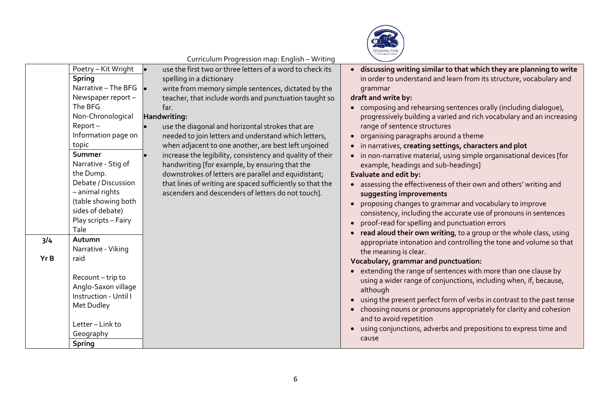

| Curriculum Progression map: English - Writing |  |  |
|-----------------------------------------------|--|--|
|                                               |  |  |

|             | Poetry - Kit Wright<br><b>Spring</b><br>Narrative - The BFG<br>Newspaper report -                                                                                                                                                             | use the first two or three letters of a word to check its<br>spelling in a dictionary<br>write from memory simple sentences, dictated by the<br>$\bullet$<br>teacher, that include words and punctuation taught so                                                                                                                                                                                                                                                                 | · discussing writing similar to that which they are planning to write<br>in order to understand and learn from its structure, vocabulary and<br>grammar<br>draft and write by:                                                                                                                                                                                                                                                                                                                                                                                                                                                                                                                                |
|-------------|-----------------------------------------------------------------------------------------------------------------------------------------------------------------------------------------------------------------------------------------------|------------------------------------------------------------------------------------------------------------------------------------------------------------------------------------------------------------------------------------------------------------------------------------------------------------------------------------------------------------------------------------------------------------------------------------------------------------------------------------|---------------------------------------------------------------------------------------------------------------------------------------------------------------------------------------------------------------------------------------------------------------------------------------------------------------------------------------------------------------------------------------------------------------------------------------------------------------------------------------------------------------------------------------------------------------------------------------------------------------------------------------------------------------------------------------------------------------|
|             | The BFG<br>Non-Chronological<br>$Report -$<br>Information page on<br>topic<br>Summer<br>Narrative - Stig of<br>the Dump.<br>Debate / Discussion<br>- animal rights<br>(table showing both<br>sides of debate)<br>Play scripts - Fairy<br>Tale | far.<br>Handwriting:<br>use the diagonal and horizontal strokes that are<br>needed to join letters and understand which letters,<br>when adjacent to one another, are best left unjoined<br>increase the legibility, consistency and quality of their<br>handwriting [for example, by ensuring that the<br>downstrokes of letters are parallel and equidistant;<br>that lines of writing are spaced sufficiently so that the<br>ascenders and descenders of letters do not touch]. | • composing and rehearsing sentences orally (including dialogue),<br>progressively building a varied and rich vocabulary and an increasing<br>range of sentence structures<br>• organising paragraphs around a theme<br>• in narratives, creating settings, characters and plot<br>• in non-narrative material, using simple organisational devices [for<br>example, headings and sub-headings]<br>Evaluate and edit by:<br>• assessing the effectiveness of their own and others' writing and<br>suggesting improvements<br>• proposing changes to grammar and vocabulary to improve<br>consistency, including the accurate use of pronouns in sentences<br>• proof-read for spelling and punctuation errors |
| 3/4<br>Yr B | Autumn<br>Narrative - Viking<br>raid<br>Recount-trip to<br>Anglo-Saxon village<br>Instruction - Until I<br>Met Dudley<br>Letter-Link to<br>Geography<br><b>Spring</b>                                                                         |                                                                                                                                                                                                                                                                                                                                                                                                                                                                                    | • read aloud their own writing, to a group or the whole class, using<br>appropriate intonation and controlling the tone and volume so that<br>the meaning is clear.<br>Vocabulary, grammar and punctuation:<br>• extending the range of sentences with more than one clause by<br>using a wider range of conjunctions, including when, if, because,<br>although<br>• using the present perfect form of verbs in contrast to the past tense<br>• choosing nouns or pronouns appropriately for clarity and cohesion<br>and to avoid repetition<br>using conjunctions, adverbs and prepositions to express time and<br>cause                                                                                     |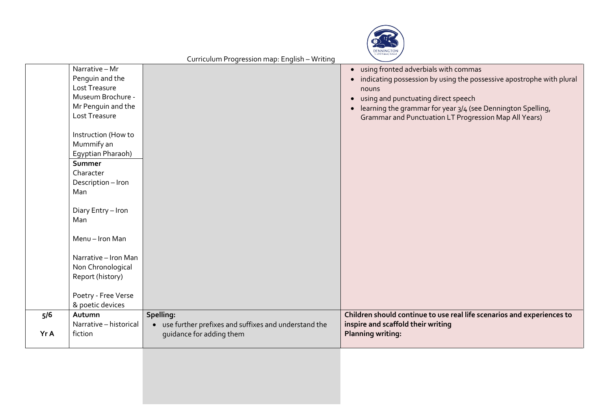

| using fronted adverbials with commas<br>$\bullet$<br>Penguin and the<br>indicating possession by using the possessive apostrophe with plural<br>Lost Treasure<br>nouns<br>Museum Brochure -<br>using and punctuating direct speech<br>$\bullet$<br>Mr Penguin and the<br>learning the grammar for year 3/4 (see Dennington Spelling,<br>Lost Treasure<br>Grammar and Punctuation LT Progression Map All Years)<br>Instruction (How to<br>Mummify an<br>Egyptian Pharaoh)<br>Summer<br>Character<br>Description - Iron<br>Man<br>Diary Entry - Iron<br>Man<br>Menu-Iron Man<br>Narrative - Iron Man<br>Non Chronological<br>Report (history)<br>Poetry - Free Verse<br>& poetic devices<br>Spelling:<br>Children should continue to use real life scenarios and experiences to<br>Autumn<br>5/6<br>inspire and scaffold their writing<br>Narrative - historical<br>• use further prefixes and suffixes and understand the<br>fiction<br><b>Planning writing:</b><br>Yr A<br>guidance for adding them |                | Corricolom i rogression map. English – writting |  |
|-----------------------------------------------------------------------------------------------------------------------------------------------------------------------------------------------------------------------------------------------------------------------------------------------------------------------------------------------------------------------------------------------------------------------------------------------------------------------------------------------------------------------------------------------------------------------------------------------------------------------------------------------------------------------------------------------------------------------------------------------------------------------------------------------------------------------------------------------------------------------------------------------------------------------------------------------------------------------------------------------------|----------------|-------------------------------------------------|--|
|                                                                                                                                                                                                                                                                                                                                                                                                                                                                                                                                                                                                                                                                                                                                                                                                                                                                                                                                                                                                     | Narrative - Mr |                                                 |  |
|                                                                                                                                                                                                                                                                                                                                                                                                                                                                                                                                                                                                                                                                                                                                                                                                                                                                                                                                                                                                     |                |                                                 |  |
|                                                                                                                                                                                                                                                                                                                                                                                                                                                                                                                                                                                                                                                                                                                                                                                                                                                                                                                                                                                                     |                |                                                 |  |
|                                                                                                                                                                                                                                                                                                                                                                                                                                                                                                                                                                                                                                                                                                                                                                                                                                                                                                                                                                                                     |                |                                                 |  |
|                                                                                                                                                                                                                                                                                                                                                                                                                                                                                                                                                                                                                                                                                                                                                                                                                                                                                                                                                                                                     |                |                                                 |  |
|                                                                                                                                                                                                                                                                                                                                                                                                                                                                                                                                                                                                                                                                                                                                                                                                                                                                                                                                                                                                     |                |                                                 |  |
|                                                                                                                                                                                                                                                                                                                                                                                                                                                                                                                                                                                                                                                                                                                                                                                                                                                                                                                                                                                                     |                |                                                 |  |
|                                                                                                                                                                                                                                                                                                                                                                                                                                                                                                                                                                                                                                                                                                                                                                                                                                                                                                                                                                                                     |                |                                                 |  |
|                                                                                                                                                                                                                                                                                                                                                                                                                                                                                                                                                                                                                                                                                                                                                                                                                                                                                                                                                                                                     |                |                                                 |  |
|                                                                                                                                                                                                                                                                                                                                                                                                                                                                                                                                                                                                                                                                                                                                                                                                                                                                                                                                                                                                     |                |                                                 |  |
|                                                                                                                                                                                                                                                                                                                                                                                                                                                                                                                                                                                                                                                                                                                                                                                                                                                                                                                                                                                                     |                |                                                 |  |
|                                                                                                                                                                                                                                                                                                                                                                                                                                                                                                                                                                                                                                                                                                                                                                                                                                                                                                                                                                                                     |                |                                                 |  |
|                                                                                                                                                                                                                                                                                                                                                                                                                                                                                                                                                                                                                                                                                                                                                                                                                                                                                                                                                                                                     |                |                                                 |  |
|                                                                                                                                                                                                                                                                                                                                                                                                                                                                                                                                                                                                                                                                                                                                                                                                                                                                                                                                                                                                     |                |                                                 |  |
|                                                                                                                                                                                                                                                                                                                                                                                                                                                                                                                                                                                                                                                                                                                                                                                                                                                                                                                                                                                                     |                |                                                 |  |
|                                                                                                                                                                                                                                                                                                                                                                                                                                                                                                                                                                                                                                                                                                                                                                                                                                                                                                                                                                                                     |                |                                                 |  |
|                                                                                                                                                                                                                                                                                                                                                                                                                                                                                                                                                                                                                                                                                                                                                                                                                                                                                                                                                                                                     |                |                                                 |  |
|                                                                                                                                                                                                                                                                                                                                                                                                                                                                                                                                                                                                                                                                                                                                                                                                                                                                                                                                                                                                     |                |                                                 |  |
|                                                                                                                                                                                                                                                                                                                                                                                                                                                                                                                                                                                                                                                                                                                                                                                                                                                                                                                                                                                                     |                |                                                 |  |
|                                                                                                                                                                                                                                                                                                                                                                                                                                                                                                                                                                                                                                                                                                                                                                                                                                                                                                                                                                                                     |                |                                                 |  |
|                                                                                                                                                                                                                                                                                                                                                                                                                                                                                                                                                                                                                                                                                                                                                                                                                                                                                                                                                                                                     |                |                                                 |  |
|                                                                                                                                                                                                                                                                                                                                                                                                                                                                                                                                                                                                                                                                                                                                                                                                                                                                                                                                                                                                     |                |                                                 |  |
|                                                                                                                                                                                                                                                                                                                                                                                                                                                                                                                                                                                                                                                                                                                                                                                                                                                                                                                                                                                                     |                |                                                 |  |
|                                                                                                                                                                                                                                                                                                                                                                                                                                                                                                                                                                                                                                                                                                                                                                                                                                                                                                                                                                                                     |                |                                                 |  |
|                                                                                                                                                                                                                                                                                                                                                                                                                                                                                                                                                                                                                                                                                                                                                                                                                                                                                                                                                                                                     |                |                                                 |  |
|                                                                                                                                                                                                                                                                                                                                                                                                                                                                                                                                                                                                                                                                                                                                                                                                                                                                                                                                                                                                     |                |                                                 |  |
|                                                                                                                                                                                                                                                                                                                                                                                                                                                                                                                                                                                                                                                                                                                                                                                                                                                                                                                                                                                                     |                |                                                 |  |
|                                                                                                                                                                                                                                                                                                                                                                                                                                                                                                                                                                                                                                                                                                                                                                                                                                                                                                                                                                                                     |                |                                                 |  |
|                                                                                                                                                                                                                                                                                                                                                                                                                                                                                                                                                                                                                                                                                                                                                                                                                                                                                                                                                                                                     |                |                                                 |  |
|                                                                                                                                                                                                                                                                                                                                                                                                                                                                                                                                                                                                                                                                                                                                                                                                                                                                                                                                                                                                     |                |                                                 |  |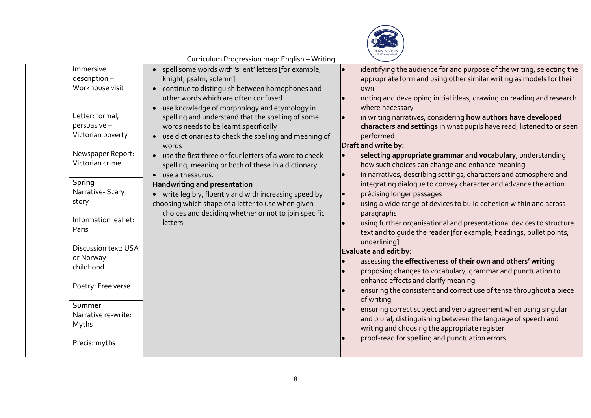

|                                                                                                                                                                                                                   | Curriculum Progression map: English – Writing                                                                                                                                                                                                                                                                                                                                                                                                                                                                                                                                                                                                                                                                                                                |                                                                                                                                                                                                                                                                                                                                                                                                                                                                                                                                                                                                                                                                                                                                                                                                                                                                                  |
|-------------------------------------------------------------------------------------------------------------------------------------------------------------------------------------------------------------------|--------------------------------------------------------------------------------------------------------------------------------------------------------------------------------------------------------------------------------------------------------------------------------------------------------------------------------------------------------------------------------------------------------------------------------------------------------------------------------------------------------------------------------------------------------------------------------------------------------------------------------------------------------------------------------------------------------------------------------------------------------------|----------------------------------------------------------------------------------------------------------------------------------------------------------------------------------------------------------------------------------------------------------------------------------------------------------------------------------------------------------------------------------------------------------------------------------------------------------------------------------------------------------------------------------------------------------------------------------------------------------------------------------------------------------------------------------------------------------------------------------------------------------------------------------------------------------------------------------------------------------------------------------|
| Immersive<br>description-<br>Workhouse visit<br>Letter: formal,<br>persuasive -<br>Victorian poverty<br>Newspaper Report:<br>Victorian crime<br><b>Spring</b><br>Narrative-Scary<br>story<br>Information leaflet: | • spell some words with 'silent' letters [for example,<br>knight, psalm, solemn]<br>• continue to distinguish between homophones and<br>other words which are often confused<br>• use knowledge of morphology and etymology in<br>spelling and understand that the spelling of some<br>words needs to be learnt specifically<br>• use dictionaries to check the spelling and meaning of<br>words<br>• use the first three or four letters of a word to check<br>spelling, meaning or both of these in a dictionary<br>• use a the saurus.<br>Handwriting and presentation<br>• write legibly, fluently and with increasing speed by<br>choosing which shape of a letter to use when given<br>choices and deciding whether or not to join specific<br>letters | identifying the audience for and purpose of the writing, selecting the<br>appropriate form and using other similar writing as models for their<br>own<br>noting and developing initial ideas, drawing on reading and research<br>where necessary<br>in writing narratives, considering how authors have developed<br>characters and settings in what pupils have read, listened to or seen<br>performed<br>Draft and write by:<br>selecting appropriate grammar and vocabulary, understanding<br>how such choices can change and enhance meaning<br>in narratives, describing settings, characters and atmosphere and<br>integrating dialogue to convey character and advance the action<br>précising longer passages<br>using a wide range of devices to build cohesion within and across<br>paragraphs<br>using further organisational and presentational devices to structure |
| Paris<br>Discussion text: USA<br>or Norway<br>childhood<br>Poetry: Free verse                                                                                                                                     |                                                                                                                                                                                                                                                                                                                                                                                                                                                                                                                                                                                                                                                                                                                                                              | text and to quide the reader [for example, headings, bullet points,<br>underlining]<br>Evaluate and edit by:<br>assessing the effectiveness of their own and others' writing<br>proposing changes to vocabulary, grammar and punctuation to<br>enhance effects and clarify meaning<br>ensuring the consistent and correct use of tense throughout a piece<br>of writing                                                                                                                                                                                                                                                                                                                                                                                                                                                                                                          |
| Summer<br>Narrative re-write:<br>Myths<br>Precis: myths                                                                                                                                                           |                                                                                                                                                                                                                                                                                                                                                                                                                                                                                                                                                                                                                                                                                                                                                              | ensuring correct subject and verb agreement when using singular<br>and plural, distinguishing between the language of speech and<br>writing and choosing the appropriate register<br>proof-read for spelling and punctuation errors                                                                                                                                                                                                                                                                                                                                                                                                                                                                                                                                                                                                                                              |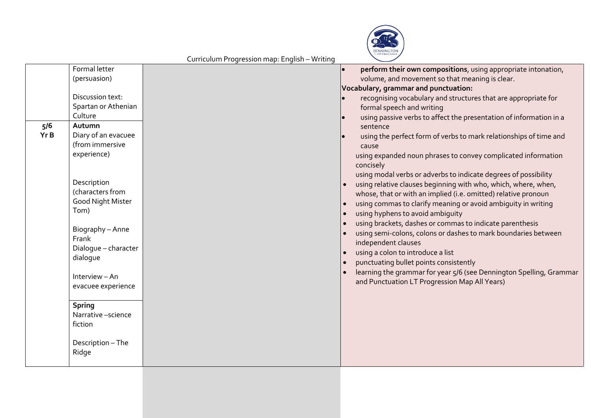

| perform their own compositions, using appropriate intonation,<br>(persuasion)<br>volume, and movement so that meaning is clear.<br>Vocabulary, grammar and punctuation:<br>Discussion text:<br>recognising vocabulary and structures that are appropriate for<br>Spartan or Athenian<br>formal speech and writing<br>Culture<br>using passive verbs to affect the presentation of information in a<br>5/6<br>Autumn<br>sentence<br>Yr B<br>Diary of an evacuee<br>using the perfect form of verbs to mark relationships of time and<br>(from immersive<br>cause<br>experience)<br>using expanded noun phrases to convey complicated information<br>concisely<br>using modal verbs or adverbs to indicate degrees of possibility<br>Description<br>using relative clauses beginning with who, which, where, when,<br>(characters from<br>whose, that or with an implied (i.e. omitted) relative pronoun<br>Good Night Mister<br>using commas to clarify meaning or avoid ambiguity in writing<br>Tom)<br>using hyphens to avoid ambiguity<br>using brackets, dashes or commas to indicate parenthesis<br>Biography - Anne<br>using semi-colons, colons or dashes to mark boundaries between<br>Frank<br>independent clauses<br>Dialogue - character<br>using a colon to introduce a list<br>dialogue<br>punctuating bullet points consistently<br>learning the grammar for year 5/6 (see Dennington Spelling, Grammar<br>Interview - An<br>and Punctuation LT Progression Map All Years)<br>evacuee experience<br><b>Spring</b><br>Narrative -science<br>fiction<br>Description - The<br>Ridge |               |  |  |
|-----------------------------------------------------------------------------------------------------------------------------------------------------------------------------------------------------------------------------------------------------------------------------------------------------------------------------------------------------------------------------------------------------------------------------------------------------------------------------------------------------------------------------------------------------------------------------------------------------------------------------------------------------------------------------------------------------------------------------------------------------------------------------------------------------------------------------------------------------------------------------------------------------------------------------------------------------------------------------------------------------------------------------------------------------------------------------------------------------------------------------------------------------------------------------------------------------------------------------------------------------------------------------------------------------------------------------------------------------------------------------------------------------------------------------------------------------------------------------------------------------------------------------------------------------------------------------------------------|---------------|--|--|
|                                                                                                                                                                                                                                                                                                                                                                                                                                                                                                                                                                                                                                                                                                                                                                                                                                                                                                                                                                                                                                                                                                                                                                                                                                                                                                                                                                                                                                                                                                                                                                                               | Formal letter |  |  |
|                                                                                                                                                                                                                                                                                                                                                                                                                                                                                                                                                                                                                                                                                                                                                                                                                                                                                                                                                                                                                                                                                                                                                                                                                                                                                                                                                                                                                                                                                                                                                                                               |               |  |  |
|                                                                                                                                                                                                                                                                                                                                                                                                                                                                                                                                                                                                                                                                                                                                                                                                                                                                                                                                                                                                                                                                                                                                                                                                                                                                                                                                                                                                                                                                                                                                                                                               |               |  |  |
|                                                                                                                                                                                                                                                                                                                                                                                                                                                                                                                                                                                                                                                                                                                                                                                                                                                                                                                                                                                                                                                                                                                                                                                                                                                                                                                                                                                                                                                                                                                                                                                               |               |  |  |
|                                                                                                                                                                                                                                                                                                                                                                                                                                                                                                                                                                                                                                                                                                                                                                                                                                                                                                                                                                                                                                                                                                                                                                                                                                                                                                                                                                                                                                                                                                                                                                                               |               |  |  |
|                                                                                                                                                                                                                                                                                                                                                                                                                                                                                                                                                                                                                                                                                                                                                                                                                                                                                                                                                                                                                                                                                                                                                                                                                                                                                                                                                                                                                                                                                                                                                                                               |               |  |  |
|                                                                                                                                                                                                                                                                                                                                                                                                                                                                                                                                                                                                                                                                                                                                                                                                                                                                                                                                                                                                                                                                                                                                                                                                                                                                                                                                                                                                                                                                                                                                                                                               |               |  |  |
|                                                                                                                                                                                                                                                                                                                                                                                                                                                                                                                                                                                                                                                                                                                                                                                                                                                                                                                                                                                                                                                                                                                                                                                                                                                                                                                                                                                                                                                                                                                                                                                               |               |  |  |
|                                                                                                                                                                                                                                                                                                                                                                                                                                                                                                                                                                                                                                                                                                                                                                                                                                                                                                                                                                                                                                                                                                                                                                                                                                                                                                                                                                                                                                                                                                                                                                                               |               |  |  |
|                                                                                                                                                                                                                                                                                                                                                                                                                                                                                                                                                                                                                                                                                                                                                                                                                                                                                                                                                                                                                                                                                                                                                                                                                                                                                                                                                                                                                                                                                                                                                                                               |               |  |  |
|                                                                                                                                                                                                                                                                                                                                                                                                                                                                                                                                                                                                                                                                                                                                                                                                                                                                                                                                                                                                                                                                                                                                                                                                                                                                                                                                                                                                                                                                                                                                                                                               |               |  |  |
|                                                                                                                                                                                                                                                                                                                                                                                                                                                                                                                                                                                                                                                                                                                                                                                                                                                                                                                                                                                                                                                                                                                                                                                                                                                                                                                                                                                                                                                                                                                                                                                               |               |  |  |
|                                                                                                                                                                                                                                                                                                                                                                                                                                                                                                                                                                                                                                                                                                                                                                                                                                                                                                                                                                                                                                                                                                                                                                                                                                                                                                                                                                                                                                                                                                                                                                                               |               |  |  |
|                                                                                                                                                                                                                                                                                                                                                                                                                                                                                                                                                                                                                                                                                                                                                                                                                                                                                                                                                                                                                                                                                                                                                                                                                                                                                                                                                                                                                                                                                                                                                                                               |               |  |  |
|                                                                                                                                                                                                                                                                                                                                                                                                                                                                                                                                                                                                                                                                                                                                                                                                                                                                                                                                                                                                                                                                                                                                                                                                                                                                                                                                                                                                                                                                                                                                                                                               |               |  |  |
|                                                                                                                                                                                                                                                                                                                                                                                                                                                                                                                                                                                                                                                                                                                                                                                                                                                                                                                                                                                                                                                                                                                                                                                                                                                                                                                                                                                                                                                                                                                                                                                               |               |  |  |
|                                                                                                                                                                                                                                                                                                                                                                                                                                                                                                                                                                                                                                                                                                                                                                                                                                                                                                                                                                                                                                                                                                                                                                                                                                                                                                                                                                                                                                                                                                                                                                                               |               |  |  |
|                                                                                                                                                                                                                                                                                                                                                                                                                                                                                                                                                                                                                                                                                                                                                                                                                                                                                                                                                                                                                                                                                                                                                                                                                                                                                                                                                                                                                                                                                                                                                                                               |               |  |  |
|                                                                                                                                                                                                                                                                                                                                                                                                                                                                                                                                                                                                                                                                                                                                                                                                                                                                                                                                                                                                                                                                                                                                                                                                                                                                                                                                                                                                                                                                                                                                                                                               |               |  |  |
|                                                                                                                                                                                                                                                                                                                                                                                                                                                                                                                                                                                                                                                                                                                                                                                                                                                                                                                                                                                                                                                                                                                                                                                                                                                                                                                                                                                                                                                                                                                                                                                               |               |  |  |
|                                                                                                                                                                                                                                                                                                                                                                                                                                                                                                                                                                                                                                                                                                                                                                                                                                                                                                                                                                                                                                                                                                                                                                                                                                                                                                                                                                                                                                                                                                                                                                                               |               |  |  |
|                                                                                                                                                                                                                                                                                                                                                                                                                                                                                                                                                                                                                                                                                                                                                                                                                                                                                                                                                                                                                                                                                                                                                                                                                                                                                                                                                                                                                                                                                                                                                                                               |               |  |  |
|                                                                                                                                                                                                                                                                                                                                                                                                                                                                                                                                                                                                                                                                                                                                                                                                                                                                                                                                                                                                                                                                                                                                                                                                                                                                                                                                                                                                                                                                                                                                                                                               |               |  |  |
|                                                                                                                                                                                                                                                                                                                                                                                                                                                                                                                                                                                                                                                                                                                                                                                                                                                                                                                                                                                                                                                                                                                                                                                                                                                                                                                                                                                                                                                                                                                                                                                               |               |  |  |
|                                                                                                                                                                                                                                                                                                                                                                                                                                                                                                                                                                                                                                                                                                                                                                                                                                                                                                                                                                                                                                                                                                                                                                                                                                                                                                                                                                                                                                                                                                                                                                                               |               |  |  |
|                                                                                                                                                                                                                                                                                                                                                                                                                                                                                                                                                                                                                                                                                                                                                                                                                                                                                                                                                                                                                                                                                                                                                                                                                                                                                                                                                                                                                                                                                                                                                                                               |               |  |  |
|                                                                                                                                                                                                                                                                                                                                                                                                                                                                                                                                                                                                                                                                                                                                                                                                                                                                                                                                                                                                                                                                                                                                                                                                                                                                                                                                                                                                                                                                                                                                                                                               |               |  |  |
|                                                                                                                                                                                                                                                                                                                                                                                                                                                                                                                                                                                                                                                                                                                                                                                                                                                                                                                                                                                                                                                                                                                                                                                                                                                                                                                                                                                                                                                                                                                                                                                               |               |  |  |
|                                                                                                                                                                                                                                                                                                                                                                                                                                                                                                                                                                                                                                                                                                                                                                                                                                                                                                                                                                                                                                                                                                                                                                                                                                                                                                                                                                                                                                                                                                                                                                                               |               |  |  |
|                                                                                                                                                                                                                                                                                                                                                                                                                                                                                                                                                                                                                                                                                                                                                                                                                                                                                                                                                                                                                                                                                                                                                                                                                                                                                                                                                                                                                                                                                                                                                                                               |               |  |  |
|                                                                                                                                                                                                                                                                                                                                                                                                                                                                                                                                                                                                                                                                                                                                                                                                                                                                                                                                                                                                                                                                                                                                                                                                                                                                                                                                                                                                                                                                                                                                                                                               |               |  |  |
|                                                                                                                                                                                                                                                                                                                                                                                                                                                                                                                                                                                                                                                                                                                                                                                                                                                                                                                                                                                                                                                                                                                                                                                                                                                                                                                                                                                                                                                                                                                                                                                               |               |  |  |